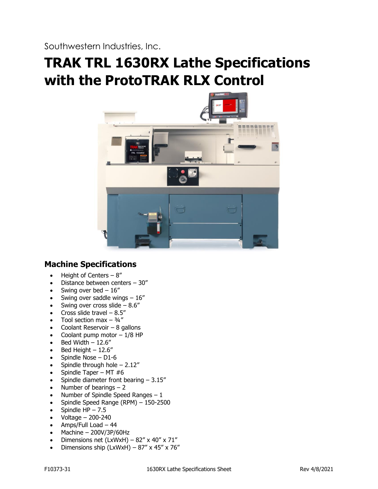Southwestern Industries, Inc.

# **TRAK TRL 1630RX Lathe Specifications with the ProtoTRAK RLX Control**



# **Machine Specifications**

- Height of Centers  $-8$ "
- Distance between centers 30"
- Swing over bed  $-16$ "
- Swing over saddle wings  $-16$ "
- Swing over cross slide  $-8.6$ "
- Cross slide travel  $-8.5$ "
- Tool section max  $\frac{3}{4}$ "
- Coolant Reservoir  $-8$  gallons
- Coolant pump motor  $-1/8$  HP
- Bed Width  $-12.6''$
- Bed Height  $-12.6''$
- Spindle Nose D1-6
- Spindle through hole  $2.12''$
- Spindle Taper MT  $#6$
- Spindle diameter front bearing 3.15"
- Number of bearings  $-2$
- Number of Spindle Speed Ranges  $-1$
- Spindle Speed Range (RPM) 150-2500
- Spindle  $HP 7.5$
- Voltage 200-240
- Amps/Full Load 44
- Machine  $-$  200V/3P/60Hz
- Dimensions net (LxWxH)  $82''$  x  $40''$  x  $71''$
- Dimensions ship (LxWxH)  $87''$  x  $45''$  x  $76''$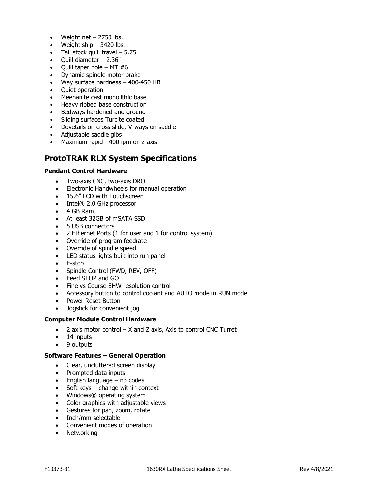- Weight net  $-2750$  lbs.
- $\bullet$  Weight ship  $-$  3420 lbs.
- Tail stock quill travel 5.75"
- $\bullet$  Quill diameter  $-2.36"$
- Quill taper hole MT  $#6$
- Dynamic spindle motor brake
- Way surface hardness 400-450 HB
- Quiet operation
- Meehanite cast monolithic base
- Heavy ribbed base construction
- Bedways hardened and ground
- Sliding surfaces Turcite coated
- Dovetails on cross slide, V-ways on saddle
- Adjustable saddle gibs
- Maximum rapid 400 ipm on z-axis

# **ProtoTRAK RLX System Specifications**

# **Pendant Control Hardware**

- Two-axis CNC, two-axis DRO
- Electronic Handwheels for manual operation
- 15.6" LCD with Touchscreen
- Intel® 2.0 GHz processor
- 4 GB Ram
- At least 32GB of mSATA SSD
- 5 USB connectors
- 2 Ethernet Ports (1 for user and 1 for control system)
- Override of program feedrate
- Override of spindle speed
- LED status lights built into run panel
- E-stop
- Spindle Control (FWD, REV, OFF)
- Feed STOP and GO
- Fine vs Course EHW resolution control
- Accessory button to control coolant and AUTO mode in RUN mode
- Power Reset Button
- Jogstick for convenient jog

#### **Computer Module Control Hardware**

- $\bullet$  2 axis motor control  $-$  X and Z axis, Axis to control CNC Turret
- 14 inputs
- 9 outputs

#### **Software Features – General Operation**

- Clear, uncluttered screen display
- Prompted data inputs
- English language no codes
- Soft keys change within context
- Windows® operating system
- Color graphics with adjustable views
- Gestures for pan, zoom, rotate
- Inch/mm selectable
- Convenient modes of operation
- Networking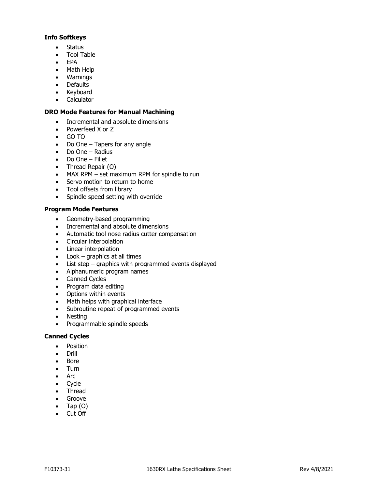# **Info Softkeys**

- Status
- Tool Table
- EPA
- Math Help
- Warnings
- Defaults
- Keyboard
- Calculator

# **DRO Mode Features for Manual Machining**

- Incremental and absolute dimensions
- Powerfeed X or Z
- GO TO
- Do One Tapers for any angle
- Do One Radius
- Do One Fillet
- Thread Repair (O)
- MAX RPM set maximum RPM for spindle to run
- Servo motion to return to home
- Tool offsets from library
- Spindle speed setting with override

# **Program Mode Features**

- Geometry-based programming
- Incremental and absolute dimensions
- Automatic tool nose radius cutter compensation
- Circular interpolation
- Linear interpolation
- Look graphics at all times
- List step graphics with programmed events displayed
- Alphanumeric program names
- Canned Cycles
- Program data editing
- Options within events
- Math helps with graphical interface
- Subroutine repeat of programmed events
- Nesting
- Programmable spindle speeds

# **Canned Cycles**

- Position
- Drill
- Bore
- Turn
- Arc
- Cycle
- Thread
- Groove
- Tap  $(O)$
- Cut Off